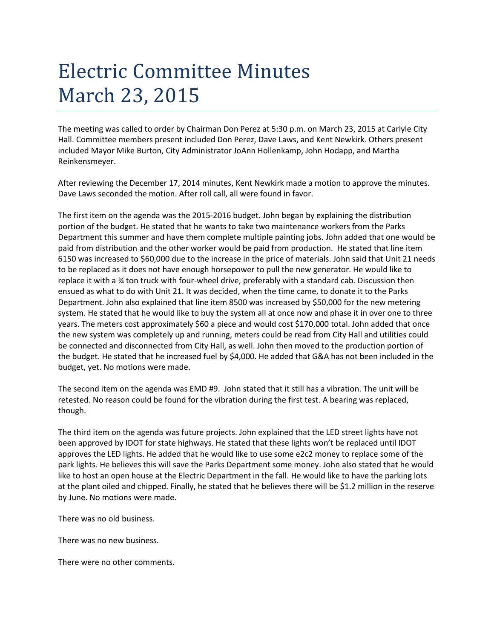## Electric Committee Minutes March 23, 2015

The meeting was called to order by Chairman Don Perez at 5:30 p.m. on March 23, 2015 at Carlyle City Hall. Committee members present included Don Perez, Dave Laws, and Kent Newkirk. Others present included Mayor Mike Burton, City Administrator JoAnn Hollenkamp, John Hodapp, and Martha Reinkensmeyer.

After reviewing the December 17, 2014 minutes, Kent Newkirk made a motion to approve the minutes. Dave Laws seconded the motion. After roll call, all were found in favor.

The first item on the agenda was the 2015-2016 budget. John began by explaining the distribution portion of the budget. He stated that he wants to take two maintenance workers from the Parks Department this summer and have them complete multiple painting jobs. John added that one would be paid from distribution and the other worker would be paid from production. He stated that line item 6150 was increased to \$60,000 due to the increase in the price of materials. John said that Unit 21 needs to be replaced as it does not have enough horsepower to pull the new generator. He would like to replace it with a ¾ ton truck with four-wheel drive, preferably with a standard cab. Discussion then ensued as what to do with Unit 21. It was decided, when the time came, to donate it to the Parks Department. John also explained that line item 8500 was increased by \$50,000 for the new metering system. He stated that he would like to buy the system all at once now and phase it in over one to three years. The meters cost approximately \$60 a piece and would cost \$170,000 total. John added that once the new system was completely up and running, meters could be read from City Hall and utilities could be connected and disconnected from City Hall, as well. John then moved to the production portion of the budget. He stated that he increased fuel by \$4,000. He added that G&A has not been included in the budget, yet. No motions were made.

The second item on the agenda was EMD #9. John stated that it still has a vibration. The unit will be retested. No reason could be found for the vibration during the first test. A bearing was replaced, though.

The third item on the agenda was future projects. John explained that the LED street lights have not been approved by IDOT for state highways. He stated that these lights won't be replaced until IDOT approves the LED lights. He added that he would like to use some e2c2 money to replace some of the park lights. He believes this will save the Parks Department some money. John also stated that he would like to host an open house at the Electric Department in the fall. He would like to have the parking lots at the plant oiled and chipped. Finally, he stated that he believes there will be \$1.2 million in the reserve by June. No motions were made.

There was no old business.

There was no new business.

There were no other comments.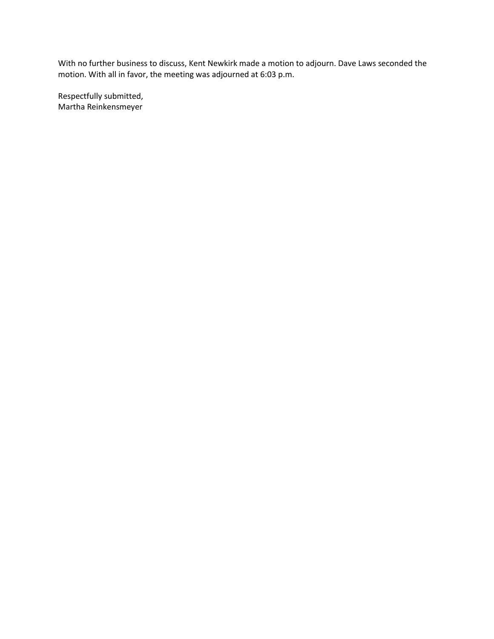With no further business to discuss, Kent Newkirk made a motion to adjourn. Dave Laws seconded the motion. With all in favor, the meeting was adjourned at 6:03 p.m.

Respectfully submitted, Martha Reinkensmeyer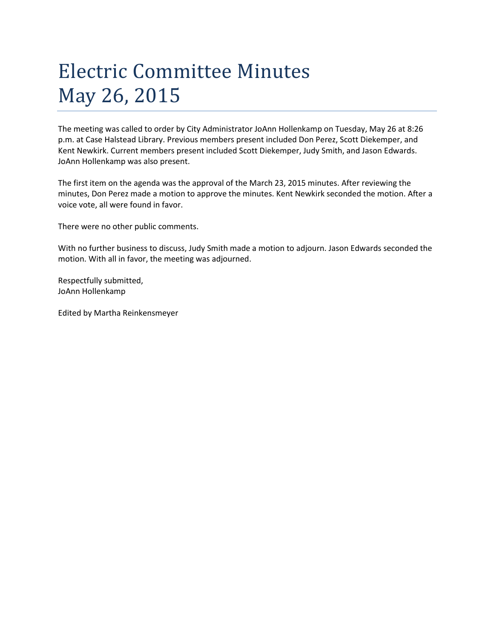## Electric Committee Minutes May 26, 2015

The meeting was called to order by City Administrator JoAnn Hollenkamp on Tuesday, May 26 at 8:26 p.m. at Case Halstead Library. Previous members present included Don Perez, Scott Diekemper, and Kent Newkirk. Current members present included Scott Diekemper, Judy Smith, and Jason Edwards. JoAnn Hollenkamp was also present.

The first item on the agenda was the approval of the March 23, 2015 minutes. After reviewing the minutes, Don Perez made a motion to approve the minutes. Kent Newkirk seconded the motion. After a voice vote, all were found in favor.

There were no other public comments.

With no further business to discuss, Judy Smith made a motion to adjourn. Jason Edwards seconded the motion. With all in favor, the meeting was adjourned.

Respectfully submitted, JoAnn Hollenkamp

Edited by Martha Reinkensmeyer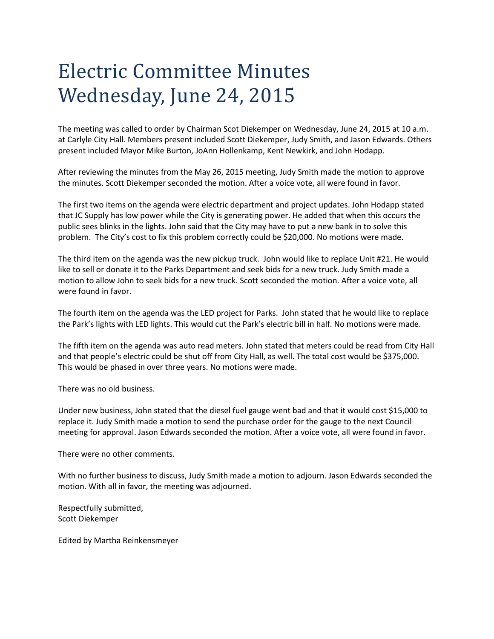## Electric Committee Minutes Wednesday, June 24, 2015

The meeting was called to order by Chairman Scot Diekemper on Wednesday, June 24, 2015 at 10 a.m. at Carlyle City Hall. Members present included Scott Diekemper, Judy Smith, and Jason Edwards. Others present included Mayor Mike Burton, JoAnn Hollenkamp, Kent Newkirk, and John Hodapp.

After reviewing the minutes from the May 26, 2015 meeting, Judy Smith made the motion to approve the minutes. Scott Diekemper seconded the motion. After a voice vote, all were found in favor.

The first two items on the agenda were electric department and project updates. John Hodapp stated that JC Supply has low power while the City is generating power. He added that when this occurs the public sees blinks in the lights. John said that the City may have to put a new bank in to solve this problem. The City's cost to fix this problem correctly could be \$20,000. No motions were made.

The third item on the agenda was the new pickup truck. John would like to replace Unit #21. He would like to sell or donate it to the Parks Department and seek bids for a new truck. Judy Smith made a motion to allow John to seek bids for a new truck. Scott seconded the motion. After a voice vote, all were found in favor.

The fourth item on the agenda was the LED project for Parks. John stated that he would like to replace the Park's lights with LED lights. This would cut the Park's electric bill in half. No motions were made.

The fifth item on the agenda was auto read meters. John stated that meters could be read from City Hall and that people's electric could be shut off from City Hall, as well. The total cost would be \$375,000. This would be phased in over three years. No motions were made.

There was no old business.

Under new business, John stated that the diesel fuel gauge went bad and that it would cost \$15,000 to replace it. Judy Smith made a motion to send the purchase order for the gauge to the next Council meeting for approval. Jason Edwards seconded the motion. After a voice vote, all were found in favor.

There were no other comments.

With no further business to discuss, Judy Smith made a motion to adjourn. Jason Edwards seconded the motion. With all in favor, the meeting was adjourned.

Respectfully submitted, Scott Diekemper

Edited by Martha Reinkensmeyer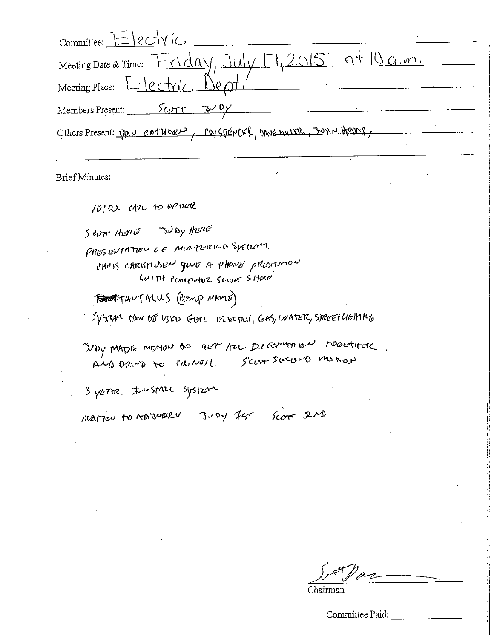| $Commitree: E   CCV ic$                                                                                          |
|------------------------------------------------------------------------------------------------------------------|
| at10a.m.<br>Meeting Date & Time: Friday, Jul                                                                     |
| Meeting Place: $E$ $ee$ $tric$ $Be$ $\sigma t$ .                                                                 |
| Members Present: <u>Scorr 300y</u>                                                                               |
| Others Present: DRN COTHERN, COVGOENCER, DANE MULLE, JONN HOOMO,                                                 |
| Brief Minutes:                                                                                                   |
| 10:02 cm to opener                                                                                               |
| Seven Hang Judy Hard                                                                                             |
| PRESERTATION OF MORTLACING SYSTEMS<br>etters etterstrussen guvo a pilovis presismon<br>Wint computer scine store |
| <b>FORTHANTALUS</b> (Comp NAME)                                                                                  |
| System the bis view Gon Laboral, GAS, Learer, Struct Holling                                                     |
| DOY MADE MONON DO GET AU ILLIGAMENTON DOGETHER<br>AMD DRIVE to cannot Scharscours monop                          |
| 3 years to system                                                                                                |
| mariou to rose and Juey 25 Score 2MD                                                                             |
|                                                                                                                  |

 $\mathscr{O}$ Chairman

--------

Committee Paid: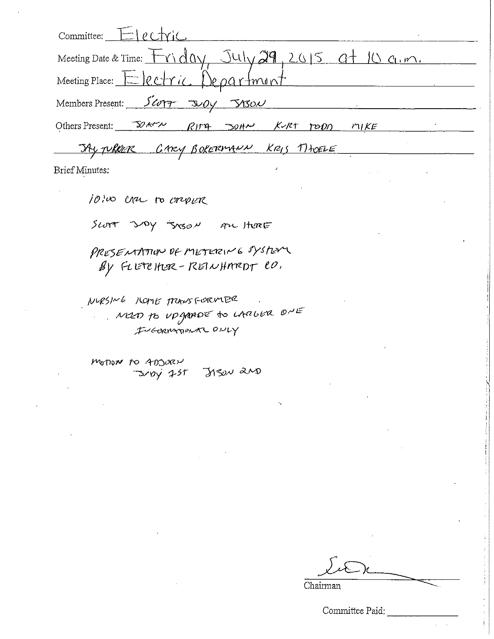| Commitree: ElectriC                                                                                    |
|--------------------------------------------------------------------------------------------------------|
| Meeting Date & Time: $F \cap d\alpha \vee$ , $J \cup J \cup g$ , $29$ , $2015$ , $a + 10$ , $c_1, m$ . |
| Meeting Place: Electric Department                                                                     |
| Members Present: 50017<br>304<br><u>JASON</u>                                                          |
| Others Present: $\mathbb{Z}$ ACV<br>$30H2$ K-RT<br>RIT4<br>71<br>POO                                   |
| TAY TURKER GARY BOKERMANN KRIS THOELE                                                                  |
| Brief Minutes:                                                                                         |
| 10:00 cru to oripler                                                                                   |
| SLOTT JAY JOSON An HERE                                                                                |
| PRESENTATION DE METERING SYSTEM                                                                        |
| By FLETCHER-REINHMRDT CO.                                                                              |
| NURSING MOME TRANSFORMER                                                                               |

NUD TO UPGAADE TO LARLER ONE

motor to ADJORN<br>Droy 755 JASN 2ND

Chairman

Committee Paid: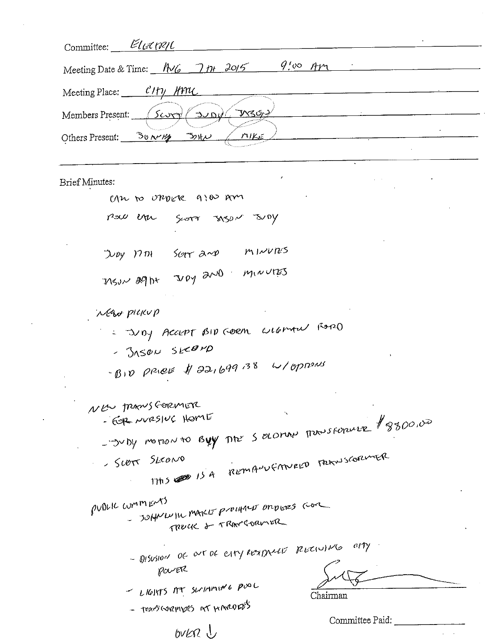| Committee: Eleanopl                                                      |                       |
|--------------------------------------------------------------------------|-----------------------|
| Meeting Date & Time: $\frac{N}{G}$ 7 $\frac{N}{H}$ 2015                  | $9.00$ AM             |
| Meeting Place: CHy HML                                                   |                       |
| <u>MBON</u><br>Members Present: $\sqrt{\frac{\text{Sovy}}{\text{Sovy}}}$ |                       |
|                                                                          |                       |
| Others Present: <u>Survey</u> Solv<br>MIKE                               |                       |
|                                                                          |                       |
| <b>Brief Minutes:</b>                                                    |                       |
| can to oppose alos am                                                    |                       |
| now the goor syser seey                                                  |                       |
|                                                                          |                       |
| Juby 17th Scott and MINUTES                                              |                       |
| MSUN 89 ht Juby 2000 MINUTES                                             |                       |
|                                                                          |                       |
| MAN PICKUP                                                               |                       |
| - July Accept BID CORM wildmore Rozzo                                    |                       |
| - JASON SECOMD                                                           |                       |
| $-810$ price \$ 22,699.38 W/oprous                                       |                       |
|                                                                          |                       |
| NEW TRANSGORMETE<br>- FOR NURSIUC HOME                                   | $\tilde{\phantom{a}}$ |
| - Duby motion to Byy The Seconal Thousandle \$8800,00                    |                       |
|                                                                          |                       |
| THIS CONTROLLED TRANSCOPEMER<br>- Scott Skows                            |                       |
|                                                                          |                       |
| pulled comments<br>- SOHNWIN MAKE PUDIHALE ONDIES GOR                    |                       |
| TRUCK & TRANGORMER                                                       |                       |
| - DISUSION OF OUT DE ESTY RESTAULT RECOUNTS OFTY                         |                       |
| POUVER                                                                   |                       |
| - LIGHTS AT SUSTAINING PUDL                                              |                       |
| - thangesveringers are represents                                        | Chairman              |
|                                                                          | Committee Paid:       |
| bvkra J                                                                  |                       |

 $\mathcal{A}^{\mathcal{A}}$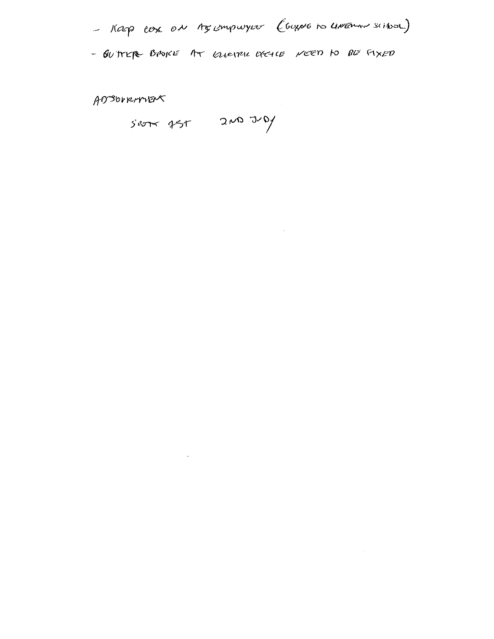

 $\label{eq:2.1} \frac{1}{\sqrt{2}}\left(\frac{1}{\sqrt{2}}\right)^{2} \left(\frac{1}{\sqrt{2}}\right)^{2} \left(\frac{1}{\sqrt{2}}\right)^{2} \left(\frac{1}{\sqrt{2}}\right)^{2} \left(\frac{1}{\sqrt{2}}\right)^{2} \left(\frac{1}{\sqrt{2}}\right)^{2} \left(\frac{1}{\sqrt{2}}\right)^{2} \left(\frac{1}{\sqrt{2}}\right)^{2} \left(\frac{1}{\sqrt{2}}\right)^{2} \left(\frac{1}{\sqrt{2}}\right)^{2} \left(\frac{1}{\sqrt{2}}\right)^{2} \left(\$ 

AOSOVRANERT

 $s$ erre  $45r$   $200$   $30$ 

 $\mathcal{L}(\mathcal{L})$  and  $\mathcal{L}(\mathcal{L})$  . The set of  $\mathcal{L}(\mathcal{L})$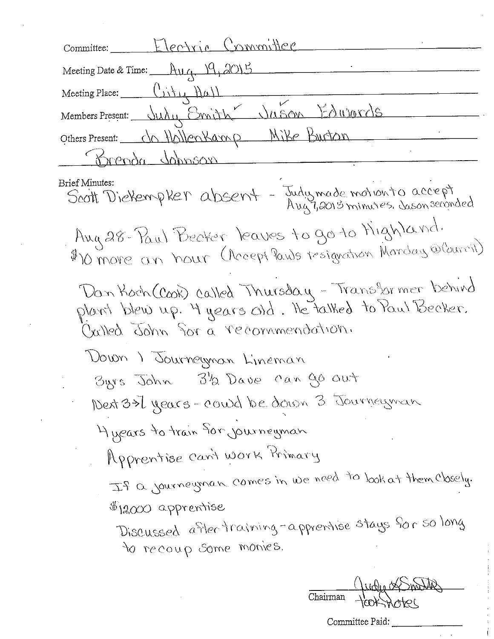Electric Committee Committee: Meeting Date & Time: Aug, 19, 2015 Meeting Place:  $(\overrightarrow{u})\overrightarrow{u}$ Members Present: July Emith Juson Edwords Others Present: da Hallenkamp Mike Burton Trenda Johnson **Brief Minutes:** Scott Dieterrpter absent - Judymade motionto accept Aug 28 . Paul Becker, leaves to go to Mighland. \$10 more an hour (Accept Pauls resignation Monday @Courcil) Dan Koch (Cook) called Thursday - Transformer behind plant blew up. 4 years old. He talked to Paul Becker. Carled John for a recommendation. Down I Journeyman Lineman 3/2 Dave can go out Byrs John Next 3>7 years - could be down 3 Journeyman 4 years to train for journeyman Apprentise can't work Primary If a journeyman comes in we need to look at them closely. \$12000 apprentise Discussed after training-apprentise stays for so long to recoup some monies.

Chairman

Committee Paid: